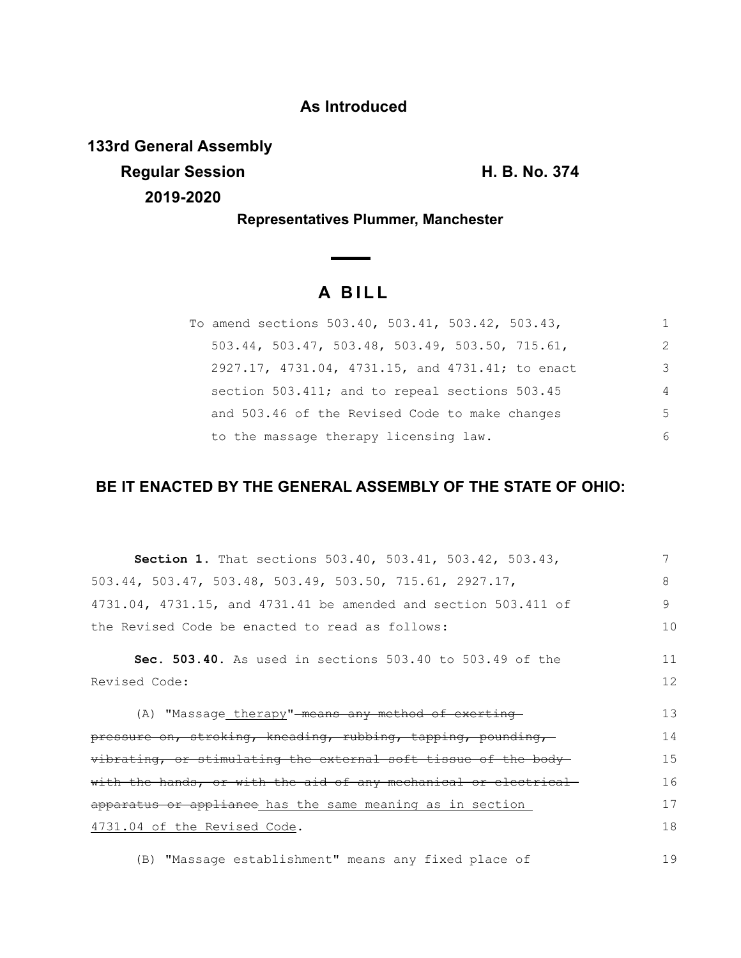# **As Introduced**

**133rd General Assembly**

**Regular Session H. B. No. 374**

**2019-2020**

19

**Representatives Plummer, Manchester**

# **A B I L L**

| To amend sections 503.40, 503.41, 503.42, 503.43, | 1. |
|---------------------------------------------------|----|
| 503.44, 503.47, 503.48, 503.49, 503.50, 715.61,   | 2  |
| 2927.17, 4731.04, 4731.15, and 4731.41; to enact  | 3  |
| section 503.411; and to repeal sections 503.45    | 4  |
| and 503.46 of the Revised Code to make changes    | .5 |
| to the massage therapy licensing law.             | 6  |

# **BE IT ENACTED BY THE GENERAL ASSEMBLY OF THE STATE OF OHIO:**

| <b>Section 1.</b> That sections 503.40, 503.41, 503.42, 503.43,               |    |
|-------------------------------------------------------------------------------|----|
| $503.44$ , $503.47$ , $503.48$ , $503.49$ , $503.50$ , $715.61$ , $2927.17$ , | 8  |
| 4731.04, 4731.15, and 4731.41 be amended and section 503.411 of               | 9  |
| the Revised Code be enacted to read as follows:                               | 10 |
| <b>Sec. 503.40.</b> As used in sections 503.40 to 503.49 of the               | 11 |
| Revised Code:                                                                 | 12 |
| (A) "Massage therapy"-means any method of exerting-                           | 13 |
| pressure on, stroking, kneading, rubbing, tapping, pounding,                  | 14 |
| vibrating, or stimulating the external soft tissue of the body-               | 15 |
| with the hands, or with the aid of any mechanical or electrical               | 16 |
| apparatus or appliance has the same meaning as in section                     | 17 |
| 4731.04 of the Revised Code.                                                  | 18 |
|                                                                               |    |

(B) "Massage establishment" means any fixed place of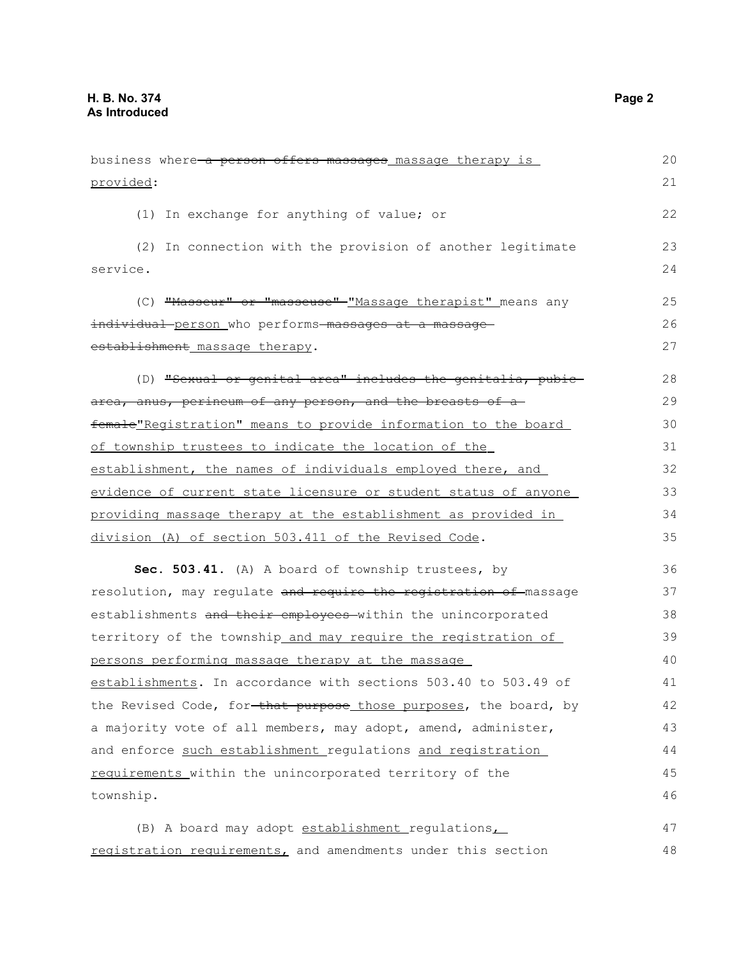| business where a person offers massages massage therapy is       | 20 |
|------------------------------------------------------------------|----|
| provided:                                                        | 21 |
| (1) In exchange for anything of value; or                        | 22 |
| (2) In connection with the provision of another legitimate       | 23 |
| service.                                                         | 24 |
| (C) "Masseur" or "masseuse" "Massage therapist" means any        | 25 |
| individual person who performs massages at a massage             | 26 |
| establishment massage therapy.                                   | 27 |
| (D) "Sexual or genital area" includes the genitalia, pubic-      | 28 |
| area, anus, perineum of any person, and the breasts of a         | 29 |
| female"Registration" means to provide information to the board   | 30 |
| of township trustees to indicate the location of the             | 31 |
| establishment, the names of individuals employed there, and      | 32 |
| evidence of current state licensure or student status of anyone  | 33 |
| providing massage therapy at the establishment as provided in    | 34 |
| division (A) of section 503.411 of the Revised Code.             | 35 |
| Sec. 503.41. (A) A board of township trustees, by                | 36 |
| resolution, may regulate and require the registration of massage | 37 |
| establishments and their employees within the unincorporated     | 38 |
| territory of the township_and_may_require_the_registration_of_   | 39 |
| persons performing massage therapy at the massage                | 40 |
| establishments. In accordance with sections 503.40 to 503.49 of  | 41 |
| the Revised Code, for-that purpose those purposes, the board, by | 42 |
| a majority vote of all members, may adopt, amend, administer,    | 43 |
| and enforce such establishment regulations and registration      | 44 |
| requirements within the unincorporated territory of the          | 45 |
| township.                                                        | 46 |
| (B) A board may adopt establishment regulations,                 | 47 |
| registration requirements, and amendments under this section     | 48 |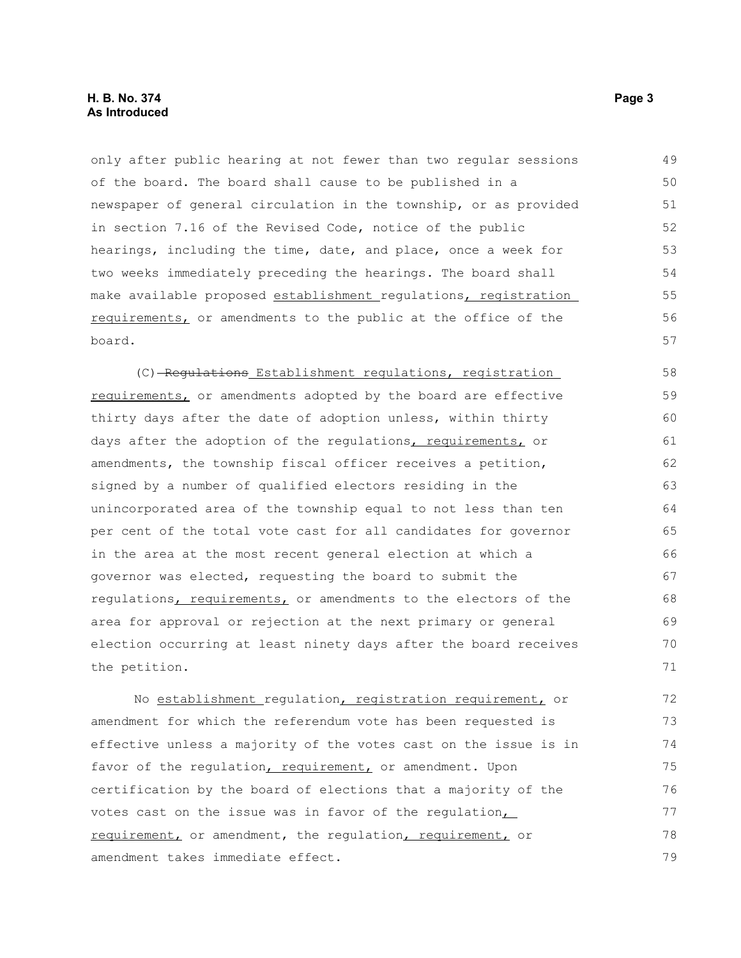#### **H. B. No. 374 Page 3 As Introduced**

only after public hearing at not fewer than two regular sessions of the board. The board shall cause to be published in a newspaper of general circulation in the township, or as provided in section 7.16 of the Revised Code, notice of the public hearings, including the time, date, and place, once a week for two weeks immediately preceding the hearings. The board shall make available proposed establishment regulations, registration requirements, or amendments to the public at the office of the board. 49 50 51 52 53 54 55 56 57

(C) Regulations Establishment regulations, registration requirements, or amendments adopted by the board are effective thirty days after the date of adoption unless, within thirty days after the adoption of the regulations, requirements, or amendments, the township fiscal officer receives a petition, signed by a number of qualified electors residing in the unincorporated area of the township equal to not less than ten per cent of the total vote cast for all candidates for governor in the area at the most recent general election at which a governor was elected, requesting the board to submit the regulations, requirements, or amendments to the electors of the area for approval or rejection at the next primary or general election occurring at least ninety days after the board receives the petition. 58 59 60 61 62 63 64 65 66 67 68 69 70 71

No establishment regulation, registration requirement, or amendment for which the referendum vote has been requested is effective unless a majority of the votes cast on the issue is in favor of the regulation, requirement, or amendment. Upon certification by the board of elections that a majority of the votes cast on the issue was in favor of the regulation, requirement, or amendment, the requlation, requirement, or amendment takes immediate effect. 72 73 74 75 76 77 78 79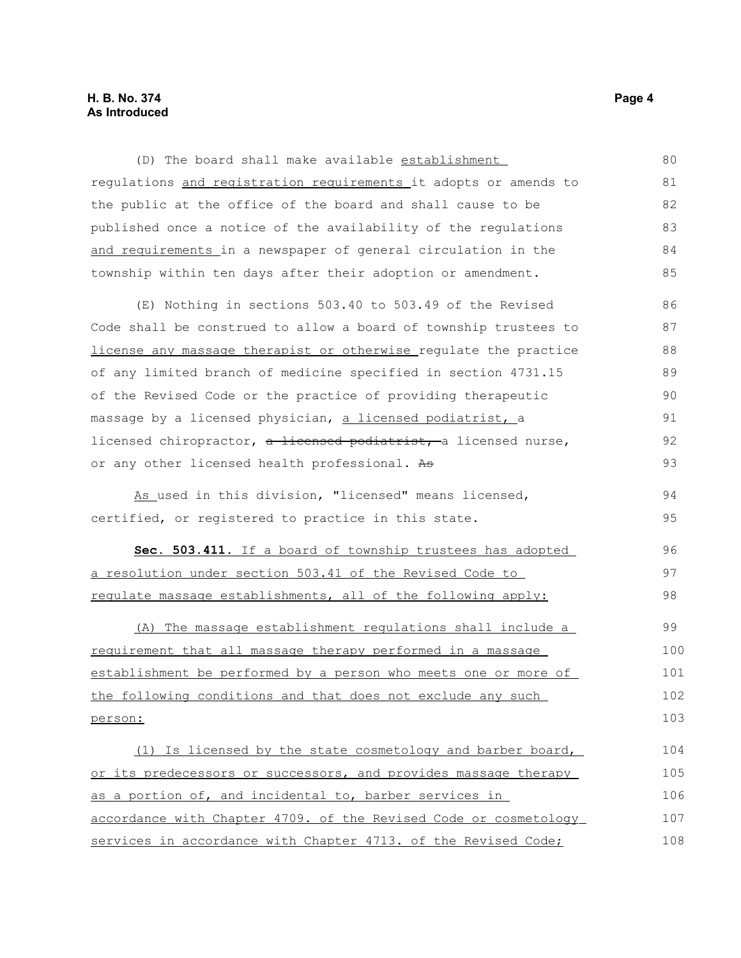#### **H. B. No. 374 Page 4 As Introduced**

(D) The board shall make available establishment regulations and registration requirements it adopts or amends to the public at the office of the board and shall cause to be published once a notice of the availability of the regulations and requirements in a newspaper of general circulation in the township within ten days after their adoption or amendment. 80 81 82 83 84 85

(E) Nothing in sections 503.40 to 503.49 of the Revised Code shall be construed to allow a board of township trustees to license any massage therapist or otherwise regulate the practice of any limited branch of medicine specified in section 4731.15 of the Revised Code or the practice of providing therapeutic massage by a licensed physician, a licensed podiatrist, a licensed chiropractor, a licensed podiatrist, a licensed nurse, or any other licensed health professional. As 86 87 88 89 90 91 92 93

As used in this division, "licensed" means licensed, certified, or registered to practice in this state. 94 95

 **Sec. 503.411.** If a board of township trustees has adopted a resolution under section 503.41 of the Revised Code to regulate massage establishments, all of the following apply:

 (A) The massage establishment regulations shall include a requirement that all massage therapy performed in a massage establishment be performed by a person who meets one or more of the following conditions and that does not exclude any such person: 99 100 101 102 103

 (1) Is licensed by the state cosmetology and barber board, or its predecessors or successors, and provides massage therapy as a portion of, and incidental to, barber services in accordance with Chapter 4709. of the Revised Code or cosmetology services in accordance with Chapter 4713. of the Revised Code; 104 105 106 107 108

96 97 98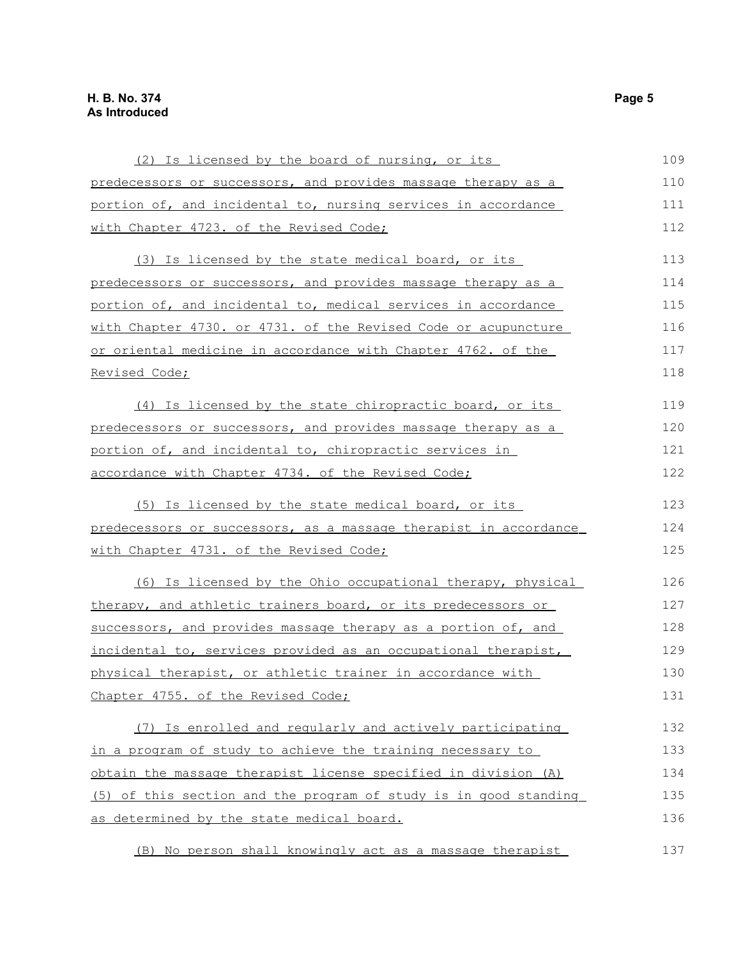| (2) Is licensed by the board of nursing, or its                  | 109 |
|------------------------------------------------------------------|-----|
| predecessors or successors, and provides massage therapy as a    | 110 |
| portion of, and incidental to, nursing services in accordance    | 111 |
| with Chapter 4723. of the Revised Code;                          | 112 |
| (3) Is licensed by the state medical board, or its               | 113 |
| predecessors or successors, and provides massage therapy as a    | 114 |
| portion of, and incidental to, medical services in accordance    | 115 |
| with Chapter 4730. or 4731. of the Revised Code or acupuncture   | 116 |
| or oriental medicine in accordance with Chapter 4762. of the     | 117 |
| Revised Code;                                                    | 118 |
| (4) Is licensed by the state chiropractic board, or its          | 119 |
| predecessors or successors, and provides massage therapy as a    | 120 |
| portion of, and incidental to, chiropractic services in          | 121 |
| accordance with Chapter 4734. of the Revised Code;               | 122 |
| (5) Is licensed by the state medical board, or its               | 123 |
| predecessors or successors, as a massage therapist in accordance | 124 |
| with Chapter 4731. of the Revised Code;                          | 125 |
| (6) Is licensed by the Ohio occupational therapy, physical       | 126 |
| therapy, and athletic trainers board, or its predecessors or     | 127 |
| successors, and provides massage therapy as a portion of, and    | 128 |
| incidental to, services provided as an occupational therapist,   | 129 |
| physical therapist, or athletic trainer in accordance with       | 130 |
| Chapter 4755. of the Revised Code;                               | 131 |
| (7) Is enrolled and regularly and actively participating         | 132 |
| in a program of study to achieve the training necessary to       | 133 |
| obtain the massage therapist license specified in division (A)   | 134 |
| (5) of this section and the program of study is in good standing | 135 |
| as determined by the state medical board.                        | 136 |
| (B) No person shall knowingly act as a massage therapist         | 137 |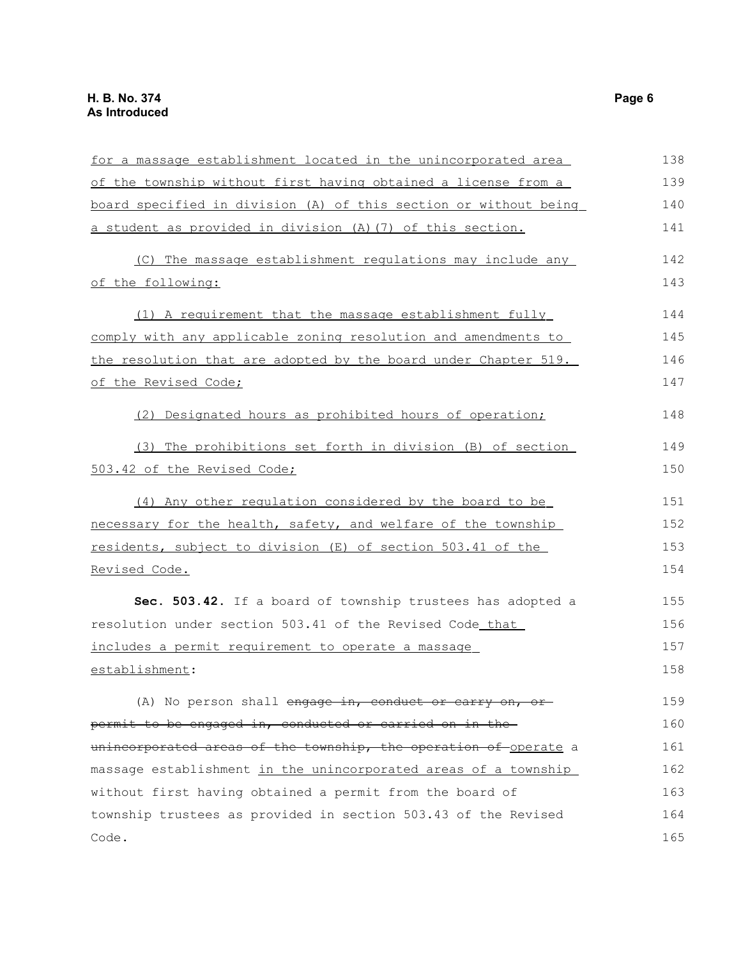| for a massage establishment located in the unincorporated area   | 138 |
|------------------------------------------------------------------|-----|
| of the township without first having obtained a license from a   | 139 |
| board specified in division (A) of this section or without being | 140 |
| a student as provided in division (A) (7) of this section.       | 141 |
| (C) The massage establishment regulations may include any        | 142 |
| of the following:                                                | 143 |
| (1) A requirement that the massage establishment fully           | 144 |
| comply with any applicable zoning resolution and amendments to   | 145 |
| the resolution that are adopted by the board under Chapter 519.  | 146 |
| of the Revised Code;                                             | 147 |
| (2) Designated hours as prohibited hours of operation;           | 148 |
| (3) The prohibitions set forth in division (B) of section        | 149 |
| 503.42 of the Revised Code;                                      | 150 |
| (4) Any other regulation considered by the board to be           | 151 |
| necessary for the health, safety, and welfare of the township    | 152 |
| residents, subject to division (E) of section 503.41 of the      | 153 |
| Revised Code.                                                    | 154 |
| Sec. 503.42. If a board of township trustees has adopted a       | 155 |
| resolution under section 503.41 of the Revised Code that         | 156 |
| includes a permit requirement to operate a massage               | 157 |
| establishment:                                                   | 158 |
| (A) No person shall engage in, conduct or carry on, or           | 159 |
| permit to be engaged in, conducted or carried on in the-         | 160 |
| unincorporated areas of the township, the operation of operate a | 161 |
| massage establishment in the unincorporated areas of a township  | 162 |
| without first having obtained a permit from the board of         | 163 |
| township trustees as provided in section 503.43 of the Revised   | 164 |
| Code.                                                            | 165 |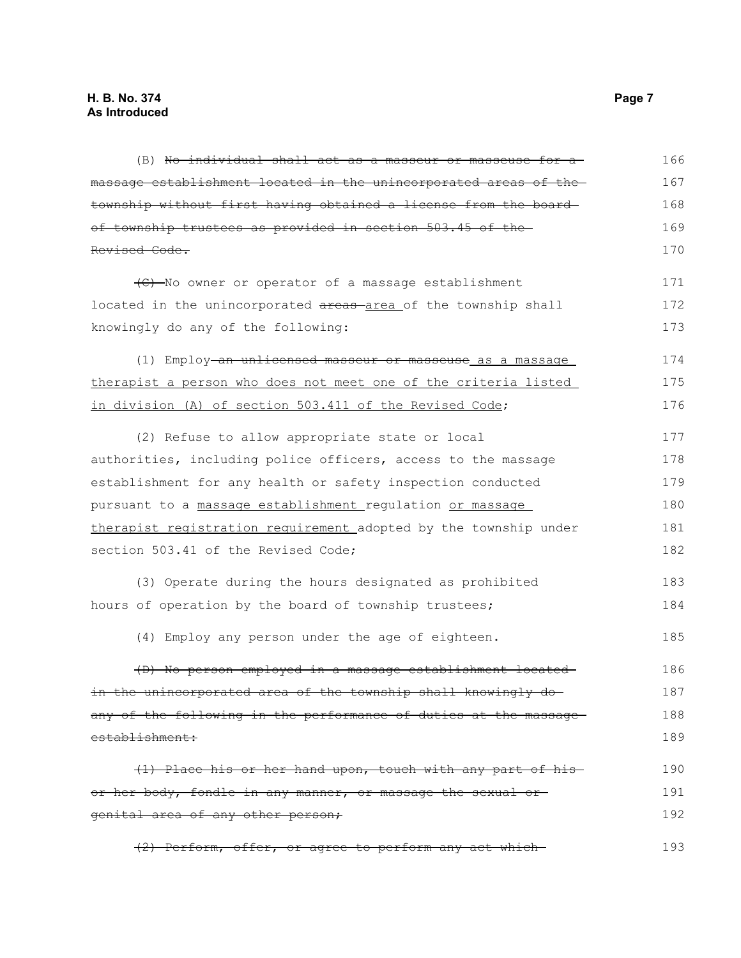(B) No individual shall act as a masseur or masseuse for a massage establishment located in the unincorporated areas of the township without first having obtained a license from the board of township trustees as provided in section 503.45 of the Revised Code. (C) No owner or operator of a massage establishment located in the unincorporated areas-area of the township shall knowingly do any of the following: (1) Employ an unlicensed masseur or masseuse as a massage therapist a person who does not meet one of the criteria listed in division (A) of section 503.411 of the Revised Code; (2) Refuse to allow appropriate state or local authorities, including police officers, access to the massage establishment for any health or safety inspection conducted pursuant to a massage establishment regulation or massage therapist registration requirement adopted by the township under section 503.41 of the Revised Code; (3) Operate during the hours designated as prohibited hours of operation by the board of township trustees; (4) Employ any person under the age of eighteen. (D) No person employed in a massage establishment located in the unincorporated area of the township shall knowingly doany of the following in the performance of duties at the massageestablishment: (1) Place his or her hand upon, touch with any part of his or her body, fondle in any manner, or massage the sexual or genital area of any other person; (2) Perform, offer, or agree to perform any act which 166 167 168 169 170 171 172 173 174 175 176 177 178 179 180 181 182 183 184 185 186 187 188 189 190 191 192 193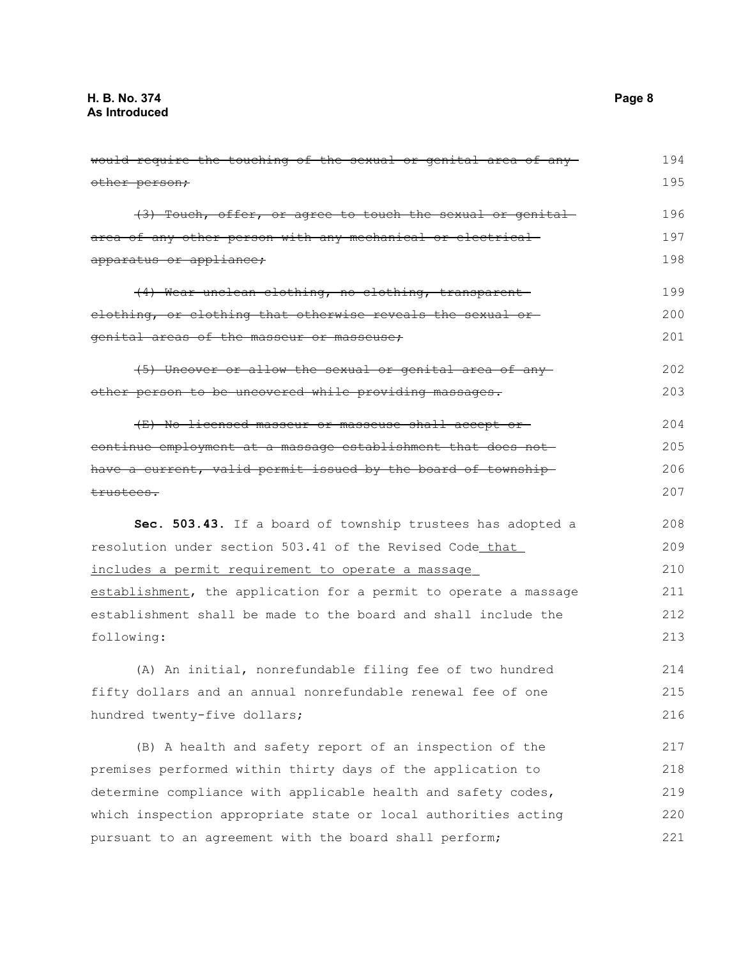would require the touching of the sexual or genital area of any other person; (3) Touch, offer, or agree to touch the sexual or genital area of any other person with any mechanical or electrical apparatus or appliance; (4) Wear unclean clothing, no clothing, transparent clothing, or clothing that otherwise reveals the sexual or genital areas of the masseur or masseuse; (5) Uncover or allow the sexual or genital area of any other person to be uncovered while providing massages. (E) No licensed masseur or masseuse shall accept or continue employment at a massage establishment that does not have a current, valid permit issued by the board of township trustees. **Sec. 503.43.** If a board of township trustees has adopted a resolution under section 503.41 of the Revised Code that includes a permit requirement to operate a massage establishment, the application for a permit to operate a massage establishment shall be made to the board and shall include the following: (A) An initial, nonrefundable filing fee of two hundred fifty dollars and an annual nonrefundable renewal fee of one hundred twenty-five dollars; (B) A health and safety report of an inspection of the premises performed within thirty days of the application to determine compliance with applicable health and safety codes, which inspection appropriate state or local authorities acting pursuant to an agreement with the board shall perform; 194 195 196 197 198 199 200 201 202 203 204 205 206 207 208 209 210 211 212 213 214 215 216 217 218 219 220 221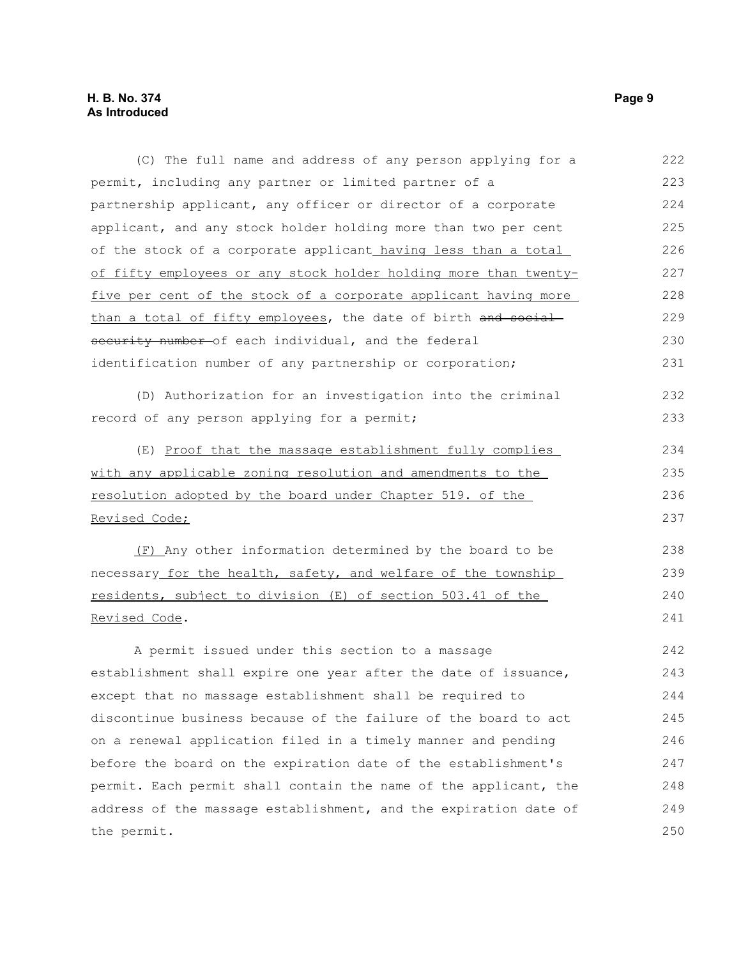| (C) The full name and address of any person applying for a       | 222 |
|------------------------------------------------------------------|-----|
| permit, including any partner or limited partner of a            | 223 |
| partnership applicant, any officer or director of a corporate    | 224 |
| applicant, and any stock holder holding more than two per cent   | 225 |
| of the stock of a corporate applicant_having less than a total_  | 226 |
| of fifty employees or any stock holder holding more than twenty- | 227 |
| five per cent of the stock of a corporate applicant having more  | 228 |
| than a total of fifty employees, the date of birth and social    | 229 |
| security number-of each individual, and the federal              | 230 |
| identification number of any partnership or corporation;         | 231 |
| (D) Authorization for an investigation into the criminal         | 232 |
| record of any person applying for a permit;                      | 233 |
| (E) Proof that the massage establishment fully complies          | 234 |
| with any applicable zoning resolution and amendments to the      | 235 |
| resolution adopted by the board under Chapter 519. of the        | 236 |
| Revised Code;                                                    | 237 |
| (F) Any other information determined by the board to be          | 238 |
| necessary for the health, safety, and welfare of the township    | 239 |
| residents, subject to division (E) of section 503.41 of the      | 240 |
| Revised Code.                                                    | 241 |
| A permit issued under this section to a massage                  | 242 |
| establishment shall expire one year after the date of issuance,  | 243 |
| except that no massage establishment shall be required to        | 244 |
| discontinue business because of the failure of the board to act  | 245 |
| on a renewal application filed in a timely manner and pending    | 246 |
| before the board on the expiration date of the establishment's   | 247 |
| permit. Each permit shall contain the name of the applicant, the | 248 |
| address of the massage establishment, and the expiration date of | 249 |
| the permit.                                                      | 250 |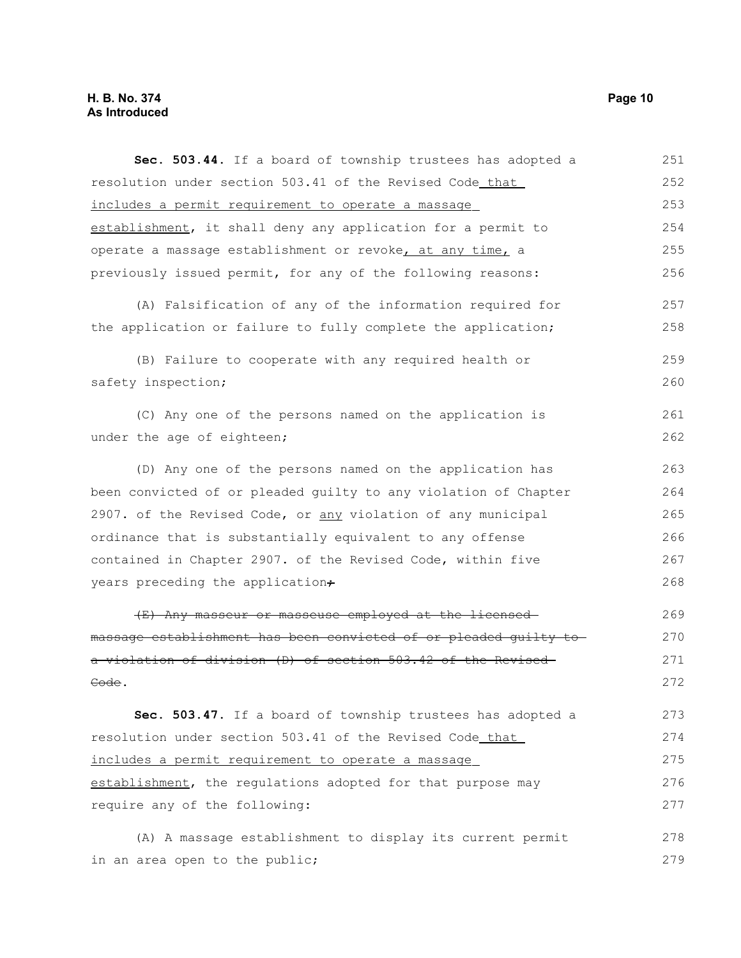### **H. B. No. 374 Page 10 As Introduced**

| Sec. 503.44. If a board of township trustees has adopted a       | 251 |
|------------------------------------------------------------------|-----|
| resolution under section 503.41 of the Revised Code that         | 252 |
| includes a permit requirement to operate a massage               | 253 |
| establishment, it shall deny any application for a permit to     | 254 |
| operate a massage establishment or revoke, at any time, a        | 255 |
| previously issued permit, for any of the following reasons:      | 256 |
| (A) Falsification of any of the information required for         | 257 |
| the application or failure to fully complete the application;    | 258 |
| (B) Failure to cooperate with any required health or             | 259 |
| safety inspection;                                               | 260 |
| (C) Any one of the persons named on the application is           | 261 |
| under the age of eighteen;                                       | 262 |
| (D) Any one of the persons named on the application has          | 263 |
| been convicted of or pleaded guilty to any violation of Chapter  | 264 |
| 2907. of the Revised Code, or any violation of any municipal     | 265 |
| ordinance that is substantially equivalent to any offense        | 266 |
| contained in Chapter 2907. of the Revised Code, within five      | 267 |
| years preceding the application+                                 | 268 |
| (E) Any masseur or masseuse employed at the licensed             | 269 |
| massage establishment has been convicted of or pleaded guilty to | 270 |
| a violation of division (D) of section 503.42 of the Revised     | 271 |
| Code.                                                            | 272 |
| Sec. 503.47. If a board of township trustees has adopted a       | 273 |
| resolution under section 503.41 of the Revised Code that         | 274 |
| includes a permit requirement to operate a massage               | 275 |
| establishment, the regulations adopted for that purpose may      | 276 |
| require any of the following:                                    | 277 |
| (A) A massage establishment to display its current permit        | 278 |
| in an area open to the public;                                   | 279 |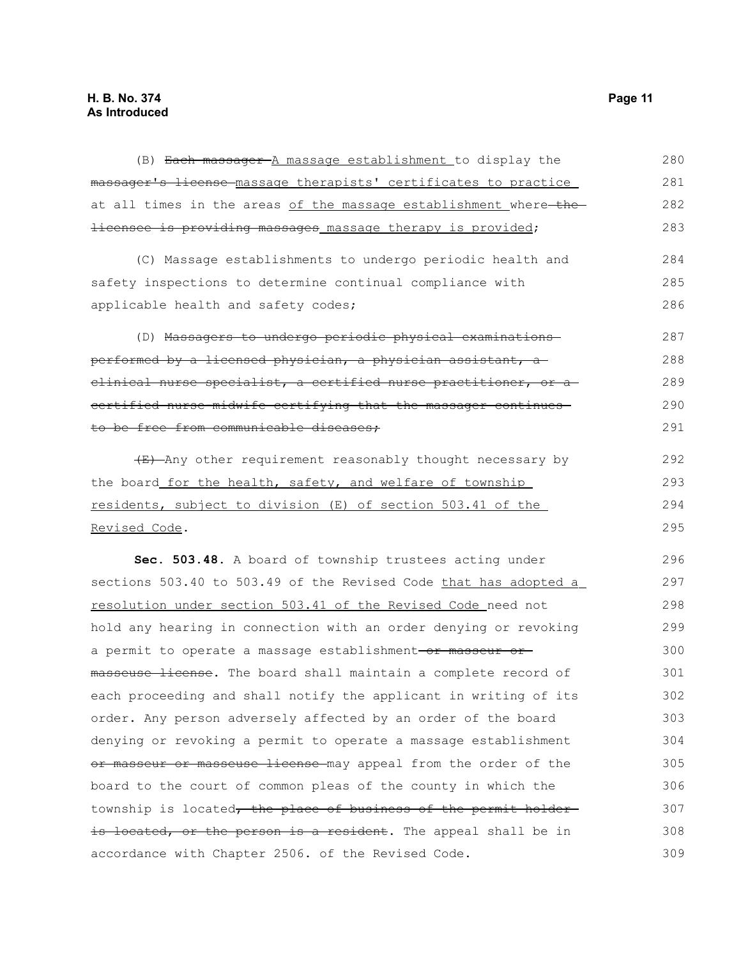| (B) Each massager A massage establishment to display the               | 280 |
|------------------------------------------------------------------------|-----|
| massager's license massage therapists' certificates to practice        | 281 |
| at all times in the areas of the massage establishment where-the-      | 282 |
| <del>licensee is providing massages</del> massage therapy is provided; | 283 |
| (C) Massage establishments to undergo periodic health and              | 284 |
| safety inspections to determine continual compliance with              | 285 |
| applicable health and safety codes;                                    | 286 |
| (D) Massagers to undergo periodic physical examinations                | 287 |
| performed by a licensed physician, a physician assistant, a            | 288 |
| elinical nurse specialist, a certified nurse practitioner, or a        | 289 |
| certified nurse-midwife certifying that the massager continues-        | 290 |
| to be free from communicable diseases;                                 | 291 |
| (E) Any other requirement reasonably thought necessary by              | 292 |
| the board for the health, safety, and welfare of township              | 293 |
| residents, subject to division (E) of section 503.41 of the            | 294 |
| Revised Code.                                                          | 295 |
| Sec. 503.48. A board of township trustees acting under                 | 296 |
| sections 503.40 to 503.49 of the Revised Code that has adopted a       | 297 |
| resolution under section 503.41 of the Revised Code need not           | 298 |
| hold any hearing in connection with an order denying or revoking       | 299 |
| a permit to operate a massage establishment-or masseur or-             | 300 |
| masseuse license. The board shall maintain a complete record of        | 301 |
| each proceeding and shall notify the applicant in writing of its       | 302 |
| order. Any person adversely affected by an order of the board          | 303 |
| denying or revoking a permit to operate a massage establishment        | 304 |
| or masseur or masseuse license may appeal from the order of the        | 305 |
| board to the court of common pleas of the county in which the          | 306 |
| township is located, the place of business of the permit holder-       | 307 |
| is located, or the person is a resident. The appeal shall be in        | 308 |
| accordance with Chapter 2506. of the Revised Code.                     | 309 |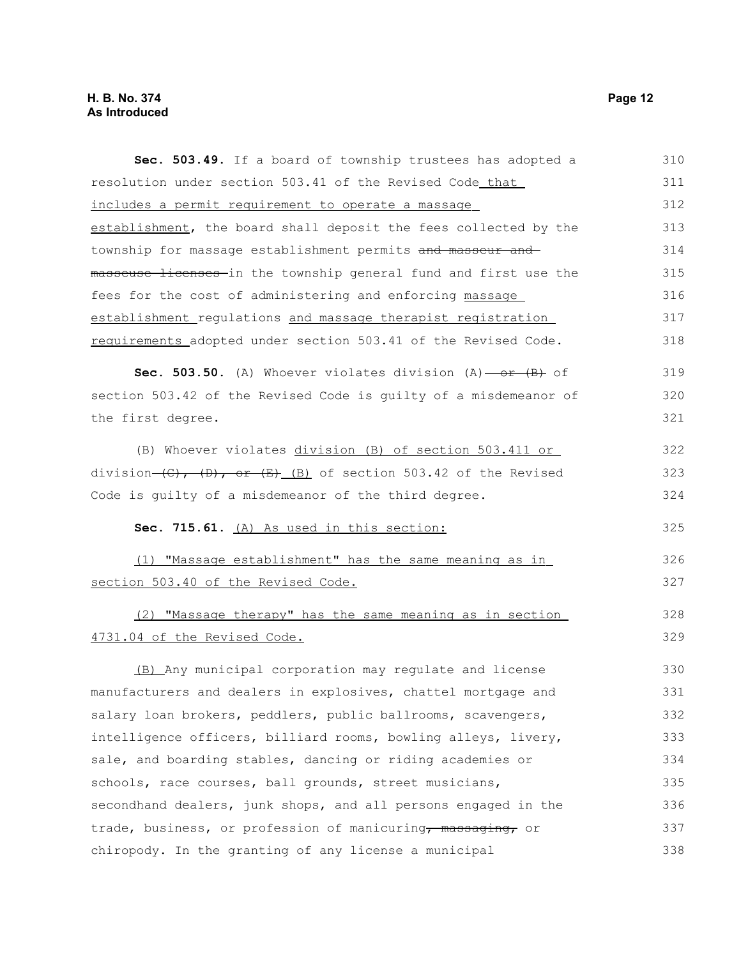## **H. B. No. 374 Page 12 As Introduced**

| Sec. 503.49. If a board of township trustees has adopted a                             | 310 |
|----------------------------------------------------------------------------------------|-----|
| resolution under section 503.41 of the Revised Code_that_                              | 311 |
| includes a permit requirement to operate a massage                                     | 312 |
| establishment, the board shall deposit the fees collected by the                       | 313 |
| township for massage establishment permits and masseur and                             | 314 |
| masseuse licenses in the township general fund and first use the                       | 315 |
| fees for the cost of administering and enforcing massage                               | 316 |
| establishment_regulations and massage therapist registration                           | 317 |
| requirements adopted under section 503.41 of the Revised Code.                         | 318 |
| Sec. 503.50. (A) Whoever violates division $(A)$ - or $(B)$ of                         | 319 |
| section 503.42 of the Revised Code is guilty of a misdemeanor of                       | 320 |
| the first degree.                                                                      | 321 |
| (B) Whoever violates division (B) of section 503.411 or                                | 322 |
| division- $(\theta)$ , $(\theta)$ , or $(\theta)$ (B) of section 503.42 of the Revised | 323 |
| Code is guilty of a misdemeanor of the third degree.                                   | 324 |
| Sec. 715.61. (A) As used in this section:                                              | 325 |
| (1) "Massage establishment" has the same meaning as in                                 | 326 |
| section 503.40 of the Revised Code.                                                    | 327 |
| (2) "Massage therapy" has the same meaning as in section                               | 328 |
| 4731.04 of the Revised Code.                                                           | 329 |
| (B) Any municipal corporation may regulate and license                                 | 330 |
| manufacturers and dealers in explosives, chattel mortgage and                          | 331 |
| salary loan brokers, peddlers, public ballrooms, scavengers,                           | 332 |
| intelligence officers, billiard rooms, bowling alleys, livery,                         | 333 |
| sale, and boarding stables, dancing or riding academies or                             | 334 |
| schools, race courses, ball grounds, street musicians,                                 | 335 |
| secondhand dealers, junk shops, and all persons engaged in the                         | 336 |
| trade, business, or profession of manicuring, massaging, or                            | 337 |
| chiropody. In the granting of any license a municipal                                  | 338 |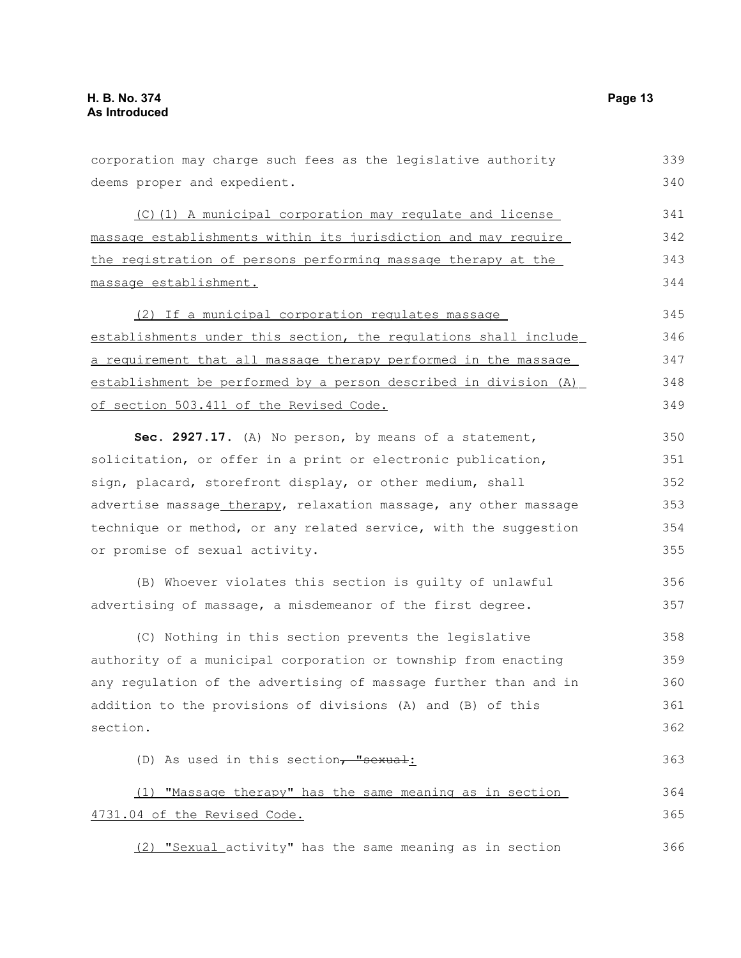| corporation may charge such fees as the legislative authority    | 339 |
|------------------------------------------------------------------|-----|
| deems proper and expedient.                                      | 340 |
| (C)(1) A municipal corporation may regulate and license          | 341 |
| massage establishments within its jurisdiction and may require   | 342 |
| the registration of persons performing massage therapy at the    | 343 |
| massage establishment.                                           | 344 |
| (2) If a municipal corporation regulates massage                 | 345 |
| establishments under this section, the regulations shall include | 346 |
| a requirement that all massage therapy performed in the massage  | 347 |
| establishment be performed by a person described in division (A) | 348 |
| of section 503.411 of the Revised Code.                          | 349 |
| Sec. 2927.17. (A) No person, by means of a statement,            | 350 |
| solicitation, or offer in a print or electronic publication,     | 351 |
| sign, placard, storefront display, or other medium, shall        | 352 |
| advertise massage_therapy, relaxation massage, any other massage | 353 |
| technique or method, or any related service, with the suggestion | 354 |
| or promise of sexual activity.                                   | 355 |
| (B) Whoever violates this section is guilty of unlawful          | 356 |
| advertising of massage, a misdemeanor of the first degree.       | 357 |
| (C) Nothing in this section prevents the legislative             | 358 |
| authority of a municipal corporation or township from enacting   | 359 |
| any regulation of the advertising of massage further than and in | 360 |
| addition to the provisions of divisions (A) and (B) of this      | 361 |
| section.                                                         | 362 |
| (D) As used in this section, "sexual:                            | 363 |
| (1) "Massage therapy" has the same meaning as in section         | 364 |
| 4731.04 of the Revised Code.                                     | 365 |
| (2) "Sexual activity" has the same meaning as in section         | 366 |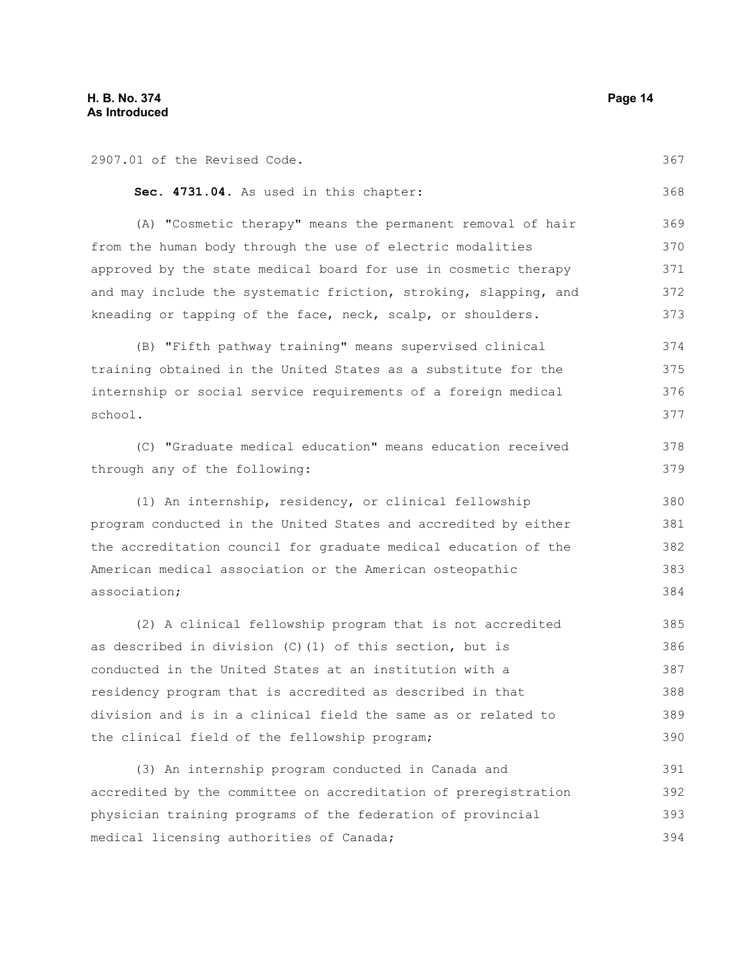| 2907.01 of the Revised Code.                                     | 367 |
|------------------------------------------------------------------|-----|
| Sec. 4731.04. As used in this chapter:                           | 368 |
| (A) "Cosmetic therapy" means the permanent removal of hair       | 369 |
| from the human body through the use of electric modalities       | 370 |
| approved by the state medical board for use in cosmetic therapy  | 371 |
| and may include the systematic friction, stroking, slapping, and | 372 |
| kneading or tapping of the face, neck, scalp, or shoulders.      | 373 |
| (B) "Fifth pathway training" means supervised clinical           | 374 |
| training obtained in the United States as a substitute for the   | 375 |
| internship or social service requirements of a foreign medical   | 376 |
| school.                                                          | 377 |
| (C) "Graduate medical education" means education received        | 378 |
| through any of the following:                                    | 379 |
| (1) An internship, residency, or clinical fellowship             | 380 |
| program conducted in the United States and accredited by either  | 381 |
| the accreditation council for graduate medical education of the  | 382 |
| American medical association or the American osteopathic         | 383 |
| association;                                                     | 384 |
| (2) A clinical fellowship program that is not accredited         | 385 |
| as described in division (C) (1) of this section, but is         | 386 |
| conducted in the United States at an institution with a          | 387 |
| residency program that is accredited as described in that        | 388 |
| division and is in a clinical field the same as or related to    | 389 |
| the clinical field of the fellowship program;                    | 390 |
| (3) An internship program conducted in Canada and                | 391 |
| accredited by the committee on accreditation of preregistration  | 392 |

accredited by the committee on accreditation of preregistration physician training programs of the federation of provincial medical licensing authorities of Canada; 393 394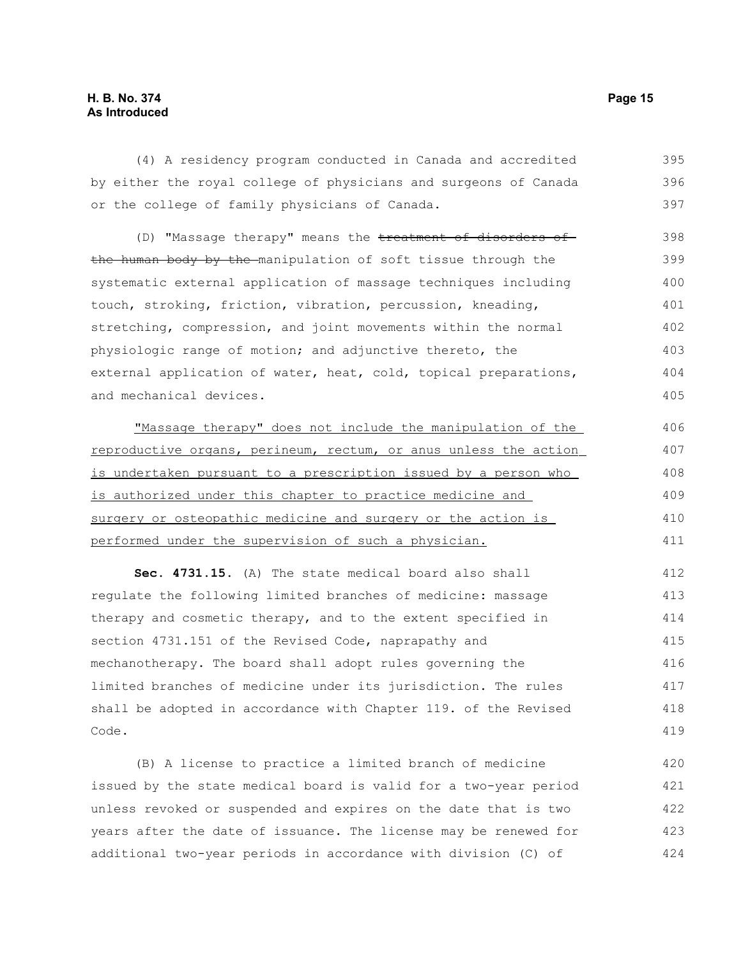#### **H. B. No. 374 Page 15 As Introduced**

(4) A residency program conducted in Canada and accredited by either the royal college of physicians and surgeons of Canada or the college of family physicians of Canada. 395 396 397

(D) "Massage therapy" means the treatment of disorders ofthe human body by the manipulation of soft tissue through the systematic external application of massage techniques including touch, stroking, friction, vibration, percussion, kneading, stretching, compression, and joint movements within the normal physiologic range of motion; and adjunctive thereto, the external application of water, heat, cold, topical preparations, and mechanical devices. 398 399 400 401 402 403 404 405

 "Massage therapy" does not include the manipulation of the reproductive organs, perineum, rectum, or anus unless the action is undertaken pursuant to a prescription issued by a person who is authorized under this chapter to practice medicine and surgery or osteopathic medicine and surgery or the action is performed under the supervision of such a physician. 406 407 408 409 410 411

**Sec. 4731.15.** (A) The state medical board also shall regulate the following limited branches of medicine: massage therapy and cosmetic therapy, and to the extent specified in section 4731.151 of the Revised Code, naprapathy and mechanotherapy. The board shall adopt rules governing the limited branches of medicine under its jurisdiction. The rules shall be adopted in accordance with Chapter 119. of the Revised Code. 412 413 414 415 416 417 418 419

(B) A license to practice a limited branch of medicine issued by the state medical board is valid for a two-year period unless revoked or suspended and expires on the date that is two years after the date of issuance. The license may be renewed for additional two-year periods in accordance with division (C) of 420 421 422 423 424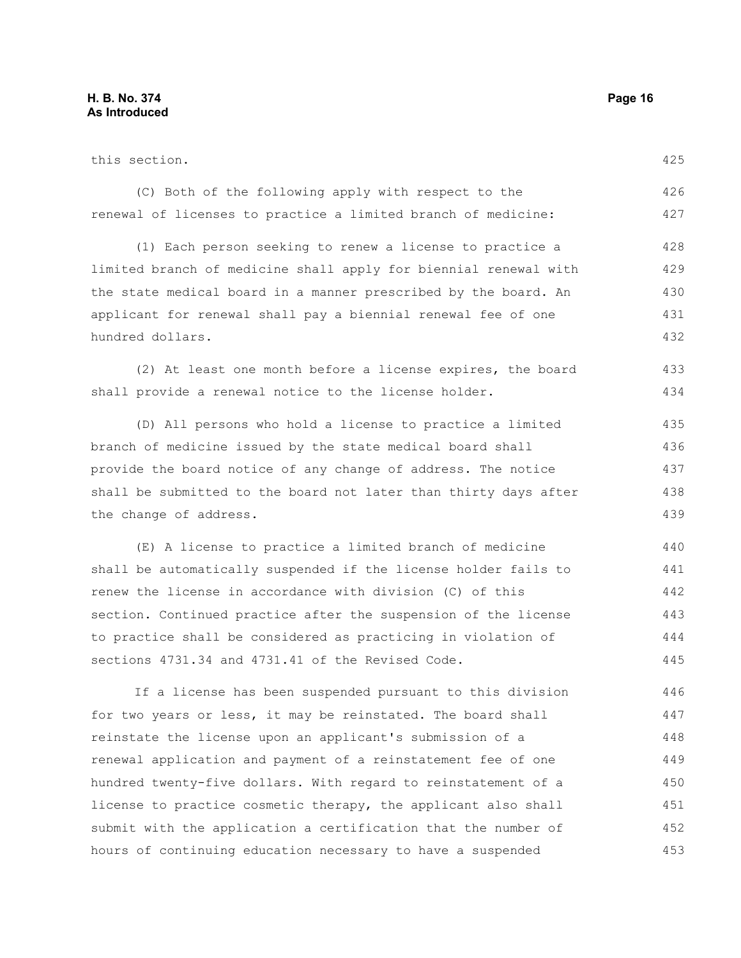452 453

| this section.                                                    | 425 |
|------------------------------------------------------------------|-----|
| (C) Both of the following apply with respect to the              | 426 |
| renewal of licenses to practice a limited branch of medicine:    | 427 |
| (1) Each person seeking to renew a license to practice a         | 428 |
| limited branch of medicine shall apply for biennial renewal with | 429 |
| the state medical board in a manner prescribed by the board. An  | 430 |
| applicant for renewal shall pay a biennial renewal fee of one    | 431 |
| hundred dollars.                                                 | 432 |
| (2) At least one month before a license expires, the board       | 433 |
| shall provide a renewal notice to the license holder.            | 434 |
| (D) All persons who hold a license to practice a limited         | 435 |
| branch of medicine issued by the state medical board shall       | 436 |
| provide the board notice of any change of address. The notice    | 437 |
| shall be submitted to the board not later than thirty days after | 438 |
| the change of address.                                           | 439 |
| (E) A license to practice a limited branch of medicine           | 440 |
| shall be automatically suspended if the license holder fails to  | 441 |
| renew the license in accordance with division (C) of this        | 442 |
| section. Continued practice after the suspension of the license  | 443 |
| to practice shall be considered as practicing in violation of    | 444 |
| sections 4731.34 and 4731.41 of the Revised Code.                | 445 |
| If a license has been suspended pursuant to this division        | 446 |
| for two years or less, it may be reinstated. The board shall     | 447 |
| reinstate the license upon an applicant's submission of a        | 448 |
| renewal application and payment of a reinstatement fee of one    | 449 |
| hundred twenty-five dollars. With regard to reinstatement of a   | 450 |
| license to practice cosmetic therapy, the applicant also shall   | 451 |

submit with the application a certification that the number of

hours of continuing education necessary to have a suspended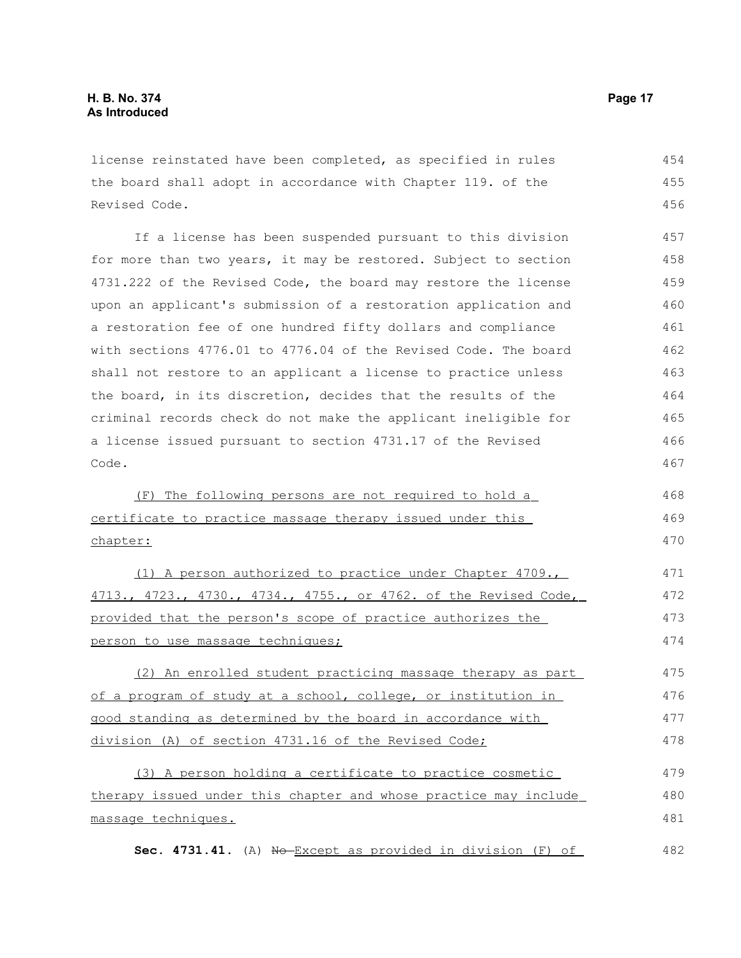license reinstated have been completed, as specified in rules the board shall adopt in accordance with Chapter 119. of the Revised Code. 454 455 456

If a license has been suspended pursuant to this division for more than two years, it may be restored. Subject to section 4731.222 of the Revised Code, the board may restore the license upon an applicant's submission of a restoration application and a restoration fee of one hundred fifty dollars and compliance with sections 4776.01 to 4776.04 of the Revised Code. The board shall not restore to an applicant a license to practice unless the board, in its discretion, decides that the results of the criminal records check do not make the applicant ineligible for a license issued pursuant to section 4731.17 of the Revised Code. 457 458 459 460 461 462 463 464 465 466 467

 (F) The following persons are not required to holda certificate to practice massage therapy issued under this chapter: 468 469 470

 (1) A person authorized to practice under Chapter 4709., 4713., 4723., 4730., 4734., 4755., or 4762. of the Revised Code, provided that the person's scope of practice authorizes the person to use massage techniques; 471 472 473 474

 (2) An enrolled student practicing massage therapy as part of a program of study at a school, college, or institution in good standing as determined by the board in accordance with division (A) of section 4731.16 of the Revised Code; 475 476 477 478

 (3) A person holding a certificate to practice cosmetic therapy issued under this chapter and whose practice may include massage techniques. 479 480 481

**Sec. 4731.41.** (A) No Except as provided in division (F) of 482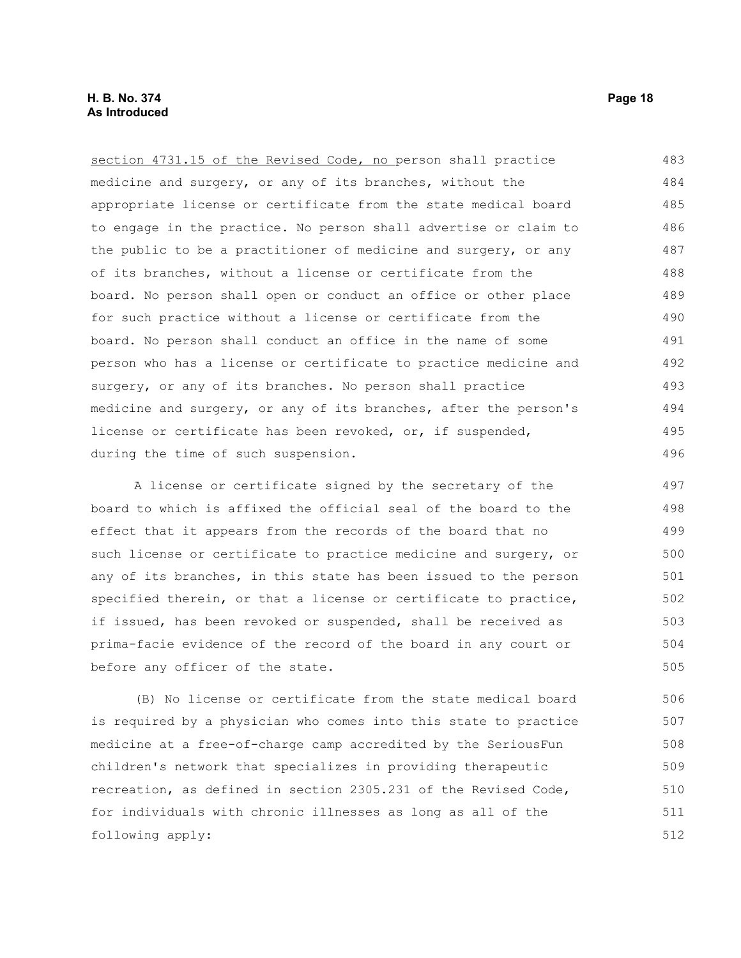section 4731.15 of the Revised Code, no person shall practice medicine and surgery, or any of its branches, without the appropriate license or certificate from the state medical board to engage in the practice. No person shall advertise or claim to the public to be a practitioner of medicine and surgery, or any of its branches, without a license or certificate from the board. No person shall open or conduct an office or other place for such practice without a license or certificate from the board. No person shall conduct an office in the name of some person who has a license or certificate to practice medicine and surgery, or any of its branches. No person shall practice medicine and surgery, or any of its branches, after the person's license or certificate has been revoked, or, if suspended, during the time of such suspension. 483 484 485 486 487 488 489 490 491 492 493 494 495 496

A license or certificate signed by the secretary of the board to which is affixed the official seal of the board to the effect that it appears from the records of the board that no such license or certificate to practice medicine and surgery, or any of its branches, in this state has been issued to the person specified therein, or that a license or certificate to practice, if issued, has been revoked or suspended, shall be received as prima-facie evidence of the record of the board in any court or before any officer of the state. 497 498 499 500 501 502 503 504 505

(B) No license or certificate from the state medical board is required by a physician who comes into this state to practice medicine at a free-of-charge camp accredited by the SeriousFun children's network that specializes in providing therapeutic recreation, as defined in section 2305.231 of the Revised Code, for individuals with chronic illnesses as long as all of the following apply: 506 507 508 509 510 511 512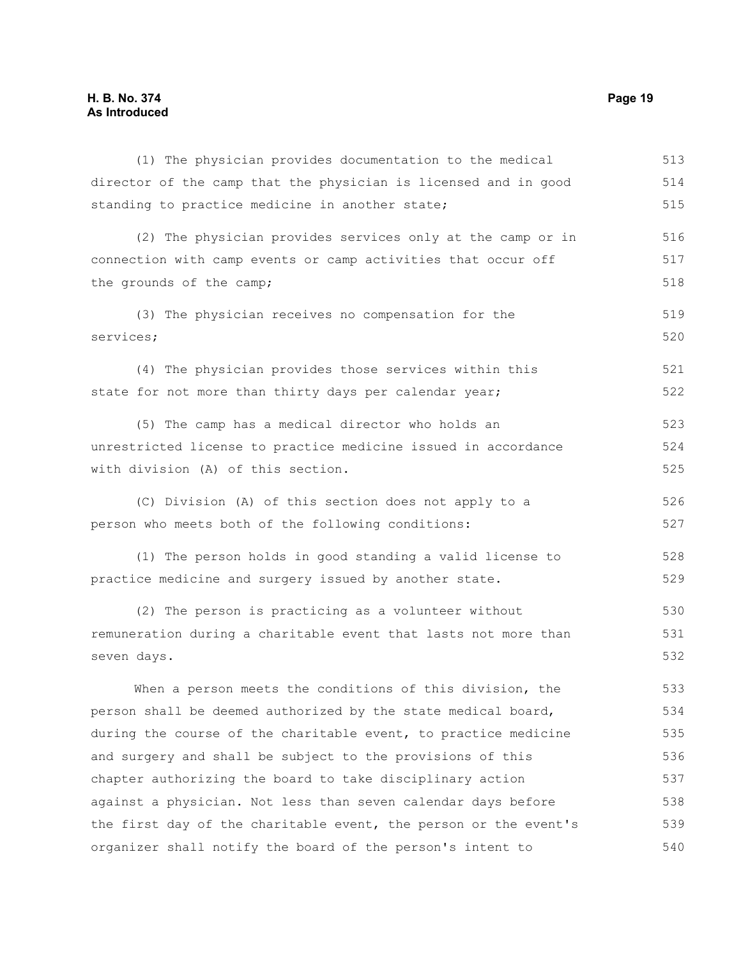## **H. B. No. 374 Page 19 As Introduced**

| (1) The physician provides documentation to the medical          | 513 |
|------------------------------------------------------------------|-----|
| director of the camp that the physician is licensed and in good  | 514 |
| standing to practice medicine in another state;                  | 515 |
| (2) The physician provides services only at the camp or in       | 516 |
| connection with camp events or camp activities that occur off    | 517 |
| the grounds of the camp;                                         | 518 |
| (3) The physician receives no compensation for the               | 519 |
| services;                                                        | 520 |
| (4) The physician provides those services within this            | 521 |
| state for not more than thirty days per calendar year;           | 522 |
| (5) The camp has a medical director who holds an                 | 523 |
| unrestricted license to practice medicine issued in accordance   | 524 |
| with division (A) of this section.                               | 525 |
| (C) Division (A) of this section does not apply to a             | 526 |
| person who meets both of the following conditions:               | 527 |
| (1) The person holds in good standing a valid license to         | 528 |
| practice medicine and surgery issued by another state.           | 529 |
| (2) The person is practicing as a volunteer without              | 530 |
| remuneration during a charitable event that lasts not more than  | 531 |
| seven days.                                                      | 532 |
| When a person meets the conditions of this division, the         | 533 |
| person shall be deemed authorized by the state medical board,    | 534 |
| during the course of the charitable event, to practice medicine  | 535 |
| and surgery and shall be subject to the provisions of this       | 536 |
| chapter authorizing the board to take disciplinary action        | 537 |
| against a physician. Not less than seven calendar days before    | 538 |
| the first day of the charitable event, the person or the event's | 539 |
| organizer shall notify the board of the person's intent to       | 540 |